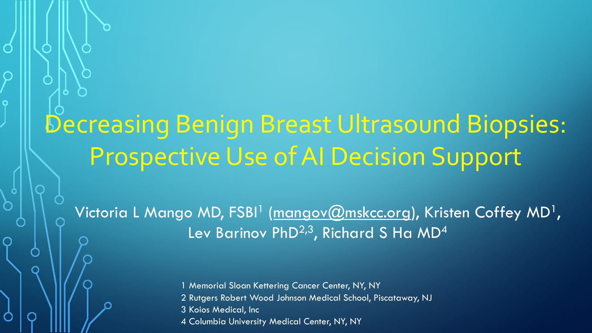# Decreasing Benign Breast Ultrasound Biopsies: Prospective Use of AI Decision Support

Victoria L Mango MD, FSBI<sup>1</sup> (<u>mangov@mskcc.org</u>), Kristen Coffey MD<sup>1</sup>, Lev Barinov PhD<sup>2,3</sup>, Richard S Ha MD<sup>4</sup>

> 1 Memorial Sloan Kettering Cancer Center, NY, NY 2 Rutgers Robert Wood Johnson Medical School, Piscataway, NJ 3 Koios Medical, Inc 4 Columbia University Medical Center, NY, NY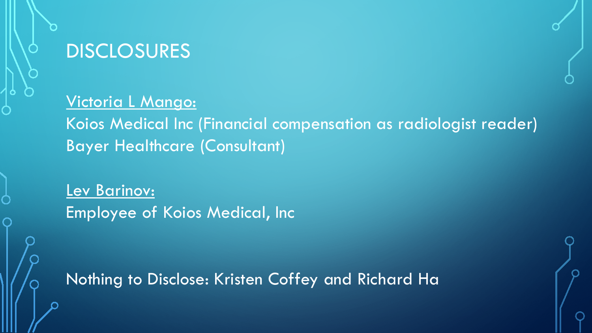

## DISCLOSURES

#### Victoria L Mango:

Koios Medical Inc (Financial compensation as radiologist reader) Bayer Healthcare (Consultant)

Lev Barinov: Employee of Koios Medical, Inc

Nothing to Disclose: Kristen Coffey and Richard Ha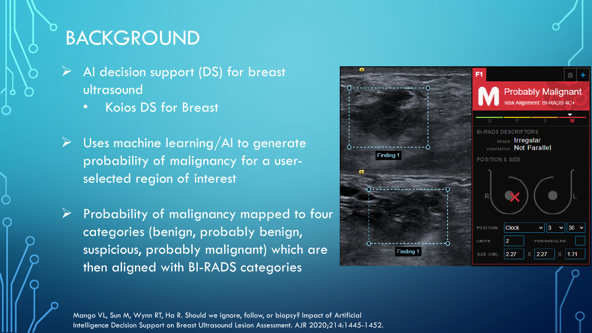## BACKGROUND

- AI decision support (DS) for breast ultrasound
	- Koios DS for Breast
- **Dises machine learning/AI to generate** probability of malignancy for a userselected region of interest
- $\triangleright$  Probability of malignancy mapped to four categories (benign, probably benign, suspicious, probably malignant) which are then aligned with BI-RADS categories



Mango VL, Sun M, Wynn RT, Ha R. Should we ignore, follow, or biopsy? Impact of Artificial Intelligence Decision Support on Breast Ultrasound Lesion Assessment. AJR 2020;214:1445-1452.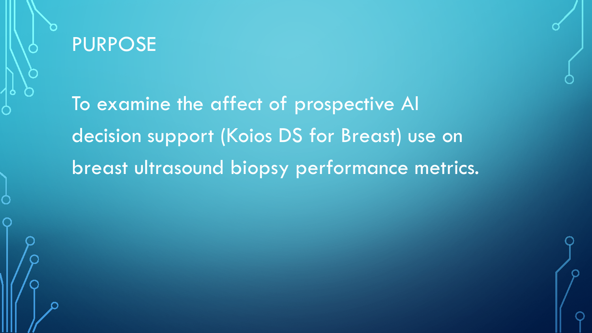

To examine the affect of prospective AI decision support (Koios DS for Breast) use on breast ultrasound biopsy performance metrics.

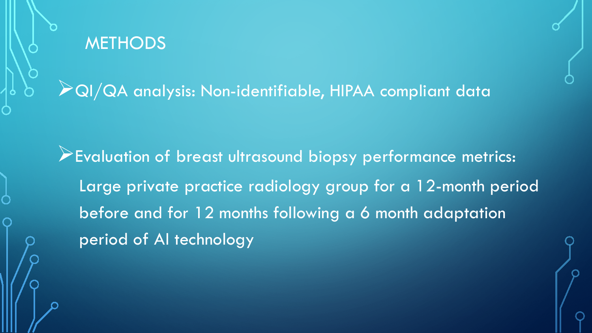

QI/QA analysis: Non-identifiable, HIPAA compliant data

Evaluation of breast ultrasound biopsy performance metrics: Large private practice radiology group for a 12-month period before and for 12 months following a 6 month adaptation period of AI technology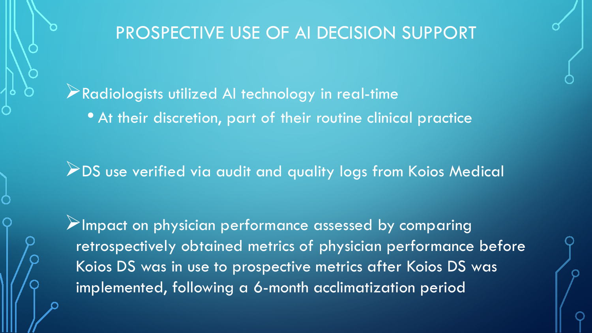Radiologists utilized AI technology in real-time • At their discretion, part of their routine clinical practice

**2 DS** use verified via audit and quality logs from Koios Medical

 $\triangleright$ Impact on physician performance assessed by comparing retrospectively obtained metrics of physician performance before Koios DS was in use to prospective metrics after Koios DS was implemented, following a 6-month acclimatization period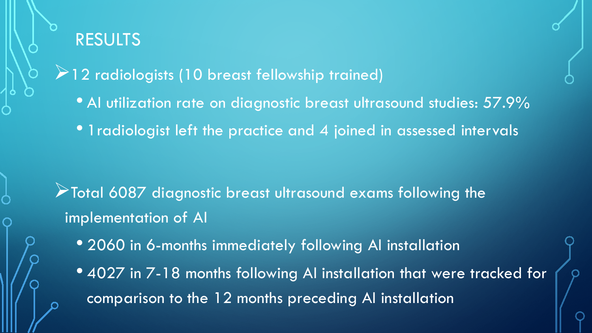

 $2$  radiologists (10 breast fellowship trained)

- Al utilization rate on diagnostic breast ultrasound studies: 57.9%
- 1 radiologist left the practice and 4 joined in assessed intervals

- Total 6087 diagnostic breast ultrasound exams following the implementation of AI
	- 2060 in 6-months immediately following AI installation
	- 4027 in 7-18 months following AI installation that were tracked for comparison to the 12 months preceding AI installation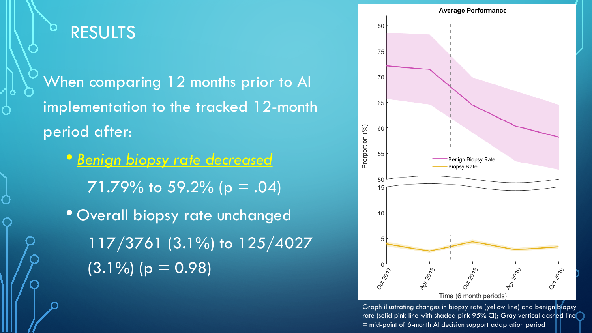

When comparing 12 months prior to AI implementation to the tracked 12-month period after:

• *Benign biopsy rate decreased*  $71.79\%$  to 59.2% (p = .04) • Overall biopsy rate unchanged 117/3761 (3.1%) to 125/4027  $(3.1\%)$  (p = 0.98)



Graph illustrating changes in biopsy rate (yellow line) and benign biopsy rate (solid pink line with shaded pink 95% CI); Gray vertical dashed line = mid-point of 6-month AI decision support adaptation period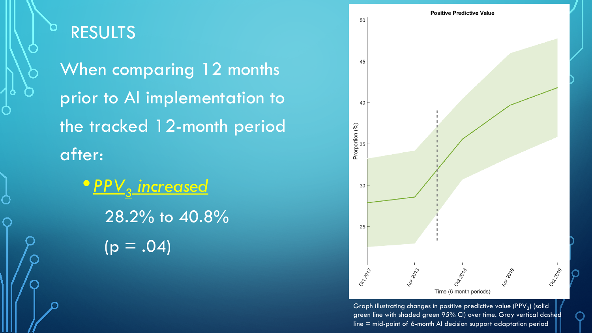

### RESULTS

When comparing 12 months prior to AI implementation to the tracked 12-month period after:

**•** PPV<sub>3</sub> increased 28.2% to 40.8%  $(p = .04)$ 



Graph illustrating changes in positive predictive value (PPV<sub>3</sub>) (solid green line with shaded green 95% CI) over time. Gray vertical dashed line = mid-point of 6-month AI decision support adaptation period